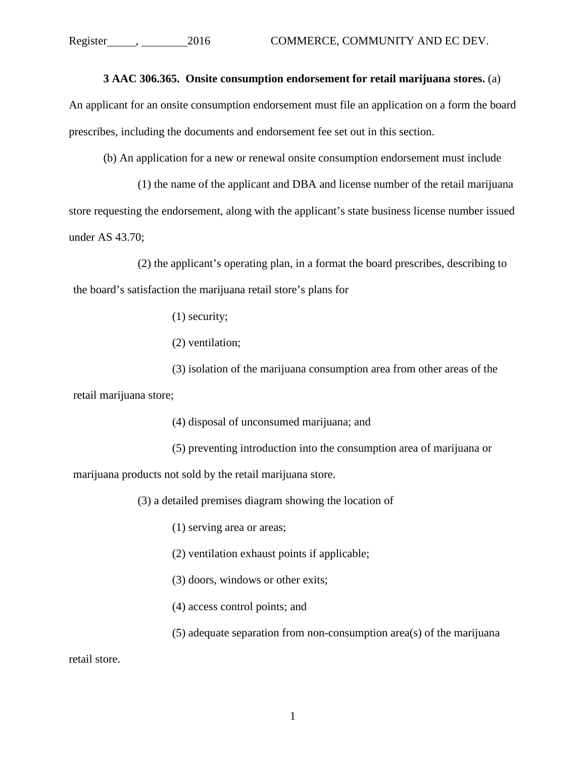## **3 AAC 306.365. Onsite consumption endorsement for retail marijuana stores.** (a)

An applicant for an onsite consumption endorsement must file an application on a form the board prescribes, including the documents and endorsement fee set out in this section.

(b) An application for a new or renewal onsite consumption endorsement must include

(1) the name of the applicant and DBA and license number of the retail marijuana store requesting the endorsement, along with the applicant's state business license number issued under AS 43.70;

(2) the applicant's operating plan, in a format the board prescribes, describing to the board's satisfaction the marijuana retail store's plans for

(1) security;

(2) ventilation;

(3) isolation of the marijuana consumption area from other areas of the retail marijuana store;

(4) disposal of unconsumed marijuana; and

(5) preventing introduction into the consumption area of marijuana or

marijuana products not sold by the retail marijuana store.

(3) a detailed premises diagram showing the location of

(1) serving area or areas;

(2) ventilation exhaust points if applicable;

(3) doors, windows or other exits;

(4) access control points; and

(5) adequate separation from non-consumption area(s) of the marijuana

retail store.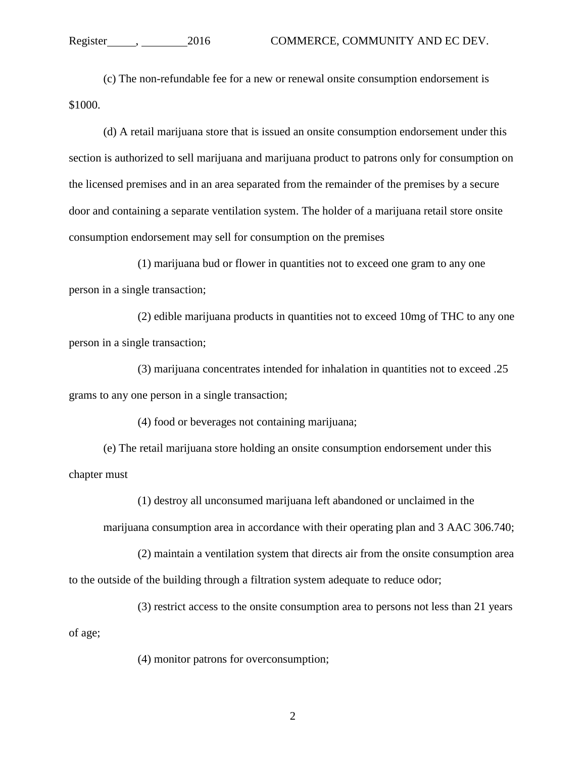## Register , 2016 COMMERCE, COMMUNITY AND EC DEV.

(c) The non-refundable fee for a new or renewal onsite consumption endorsement is \$1000.

(d) A retail marijuana store that is issued an onsite consumption endorsement under this section is authorized to sell marijuana and marijuana product to patrons only for consumption on the licensed premises and in an area separated from the remainder of the premises by a secure door and containing a separate ventilation system. The holder of a marijuana retail store onsite consumption endorsement may sell for consumption on the premises

(1) marijuana bud or flower in quantities not to exceed one gram to any one person in a single transaction;

(2) edible marijuana products in quantities not to exceed 10mg of THC to any one person in a single transaction;

(3) marijuana concentrates intended for inhalation in quantities not to exceed .25 grams to any one person in a single transaction;

(4) food or beverages not containing marijuana;

(e) The retail marijuana store holding an onsite consumption endorsement under this chapter must

(1) destroy all unconsumed marijuana left abandoned or unclaimed in the

marijuana consumption area in accordance with their operating plan and 3 AAC 306.740;

(2) maintain a ventilation system that directs air from the onsite consumption area to the outside of the building through a filtration system adequate to reduce odor;

(3) restrict access to the onsite consumption area to persons not less than 21 years

of age;

(4) monitor patrons for overconsumption;

2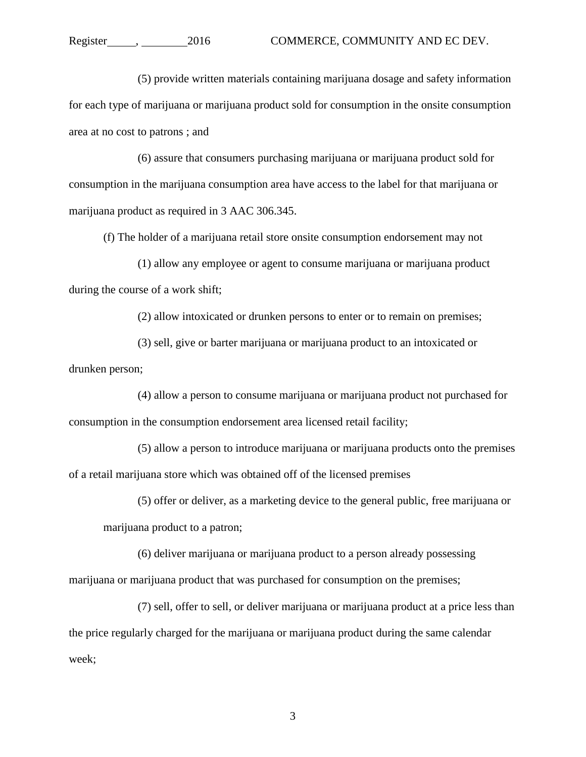(5) provide written materials containing marijuana dosage and safety information for each type of marijuana or marijuana product sold for consumption in the onsite consumption area at no cost to patrons ; and

(6) assure that consumers purchasing marijuana or marijuana product sold for consumption in the marijuana consumption area have access to the label for that marijuana or marijuana product as required in 3 AAC 306.345.

(f) The holder of a marijuana retail store onsite consumption endorsement may not

(1) allow any employee or agent to consume marijuana or marijuana product during the course of a work shift;

(2) allow intoxicated or drunken persons to enter or to remain on premises;

(3) sell, give or barter marijuana or marijuana product to an intoxicated or drunken person;

(4) allow a person to consume marijuana or marijuana product not purchased for consumption in the consumption endorsement area licensed retail facility;

(5) allow a person to introduce marijuana or marijuana products onto the premises of a retail marijuana store which was obtained off of the licensed premises

(5) offer or deliver, as a marketing device to the general public, free marijuana or

marijuana product to a patron;

 (6) deliver marijuana or marijuana product to a person already possessing marijuana or marijuana product that was purchased for consumption on the premises;

 (7) sell, offer to sell, or deliver marijuana or marijuana product at a price less than the price regularly charged for the marijuana or marijuana product during the same calendar week;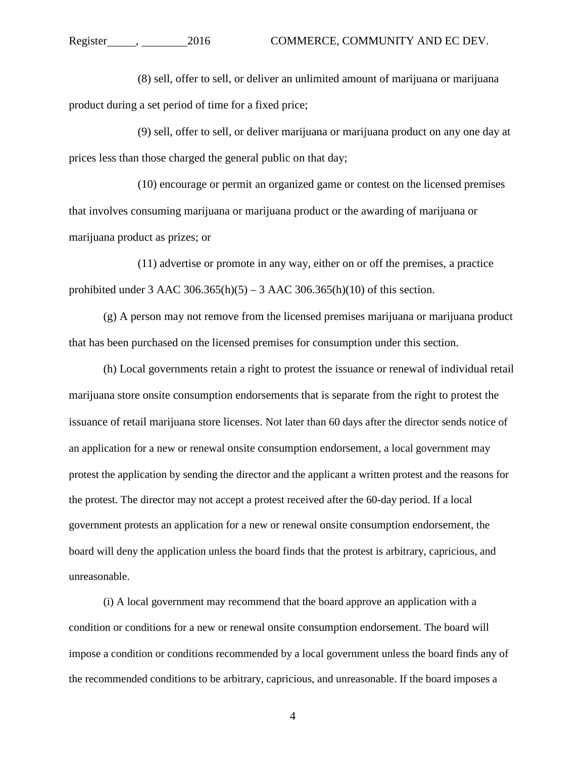(8) sell, offer to sell, or deliver an unlimited amount of marijuana or marijuana product during a set period of time for a fixed price;

 (9) sell, offer to sell, or deliver marijuana or marijuana product on any one day at prices less than those charged the general public on that day;

 (10) encourage or permit an organized game or contest on the licensed premises that involves consuming marijuana or marijuana product or the awarding of marijuana or marijuana product as prizes; or

 (11) advertise or promote in any way, either on or off the premises, a practice prohibited under 3 AAC 306.365(h)(5) – 3 AAC 306.365(h)(10) of this section.

(g) A person may not remove from the licensed premises marijuana or marijuana product that has been purchased on the licensed premises for consumption under this section.

(h) Local governments retain a right to protest the issuance or renewal of individual retail marijuana store onsite consumption endorsements that is separate from the right to protest the issuance of retail marijuana store licenses. Not later than 60 days after the director sends notice of an application for a new or renewal onsite consumption endorsement, a local government may protest the application by sending the director and the applicant a written protest and the reasons for the protest. The director may not accept a protest received after the 60-day period. If a local government protests an application for a new or renewal onsite consumption endorsement, the board will deny the application unless the board finds that the protest is arbitrary, capricious, and unreasonable.

(i) A local government may recommend that the board approve an application with a condition or conditions for a new or renewal onsite consumption endorsement. The board will impose a condition or conditions recommended by a local government unless the board finds any of the recommended conditions to be arbitrary, capricious, and unreasonable. If the board imposes a

4